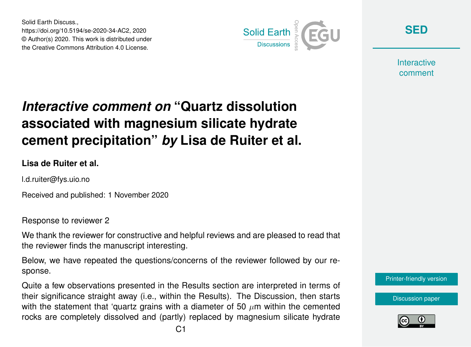Solid Earth Discuss., https://doi.org/10.5194/se-2020-34-AC2, 2020 © Author(s) 2020. This work is distributed under the Creative Commons Attribution 4.0 License.



**[SED](https://se.copernicus.org/preprints/)**

**Interactive** comment

# *Interactive comment on* **"Quartz dissolution associated with magnesium silicate hydrate cement precipitation"** *by* **Lisa de Ruiter et al.**

**Lisa de Ruiter et al.**

l.d.ruiter@fys.uio.no

Received and published: 1 November 2020

Response to reviewer 2

We thank the reviewer for constructive and helpful reviews and are pleased to read that the reviewer finds the manuscript interesting.

Below, we have repeated the questions/concerns of the reviewer followed by our response.

Quite a few observations presented in the Results section are interpreted in terms of their significance straight away (i.e., within the Results). The Discussion, then starts with the statement that 'quartz grains with a diameter of 50  $\mu$ m within the cemented rocks are completely dissolved and (partly) replaced by magnesium silicate hydrate

[Printer-friendly version](https://se.copernicus.org/preprints/se-2020-34/se-2020-34-AC2-print.pdf)

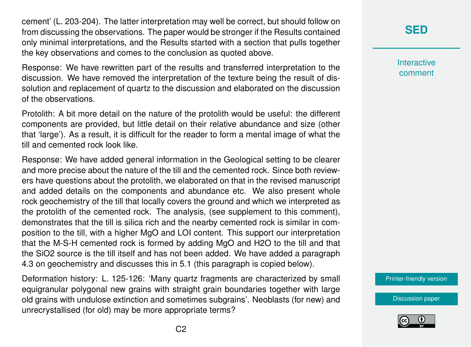cement' (L. 203-204). The latter interpretation may well be correct, but should follow on from discussing the observations. The paper would be stronger if the Results contained only minimal interpretations, and the Results started with a section that pulls together the key observations and comes to the conclusion as quoted above.

Response: We have rewritten part of the results and transferred interpretation to the discussion. We have removed the interpretation of the texture being the result of dissolution and replacement of quartz to the discussion and elaborated on the discussion of the observations.

Protolith: A bit more detail on the nature of the protolith would be useful: the different components are provided, but little detail on their relative abundance and size (other that 'large'). As a result, it is difficult for the reader to form a mental image of what the till and cemented rock look like.

Response: We have added general information in the Geological setting to be clearer and more precise about the nature of the till and the cemented rock. Since both reviewers have questions about the protolith, we elaborated on that in the revised manuscript and added details on the components and abundance etc. We also present whole rock geochemistry of the till that locally covers the ground and which we interpreted as the protolith of the cemented rock. The analysis, (see supplement to this comment), demonstrates that the till is silica rich and the nearby cemented rock is similar in composition to the till, with a higher MgO and LOI content. This support our interpretation that the M-S-H cemented rock is formed by adding MgO and H2O to the till and that the SiO2 source is the till itself and has not been added. We have added a paragraph 4.3 on geochemistry and discusses this in 5.1 (this paragraph is copied below).

Deformation history: L. 125-126: 'Many quartz fragments are characterized by small equigranular polygonal new grains with straight grain boundaries together with large old grains with undulose extinction and sometimes subgrains'. Neoblasts (for new) and unrecrystallised (for old) may be more appropriate terms?

# **[SED](https://se.copernicus.org/preprints/)**

**Interactive** comment

[Printer-friendly version](https://se.copernicus.org/preprints/se-2020-34/se-2020-34-AC2-print.pdf)

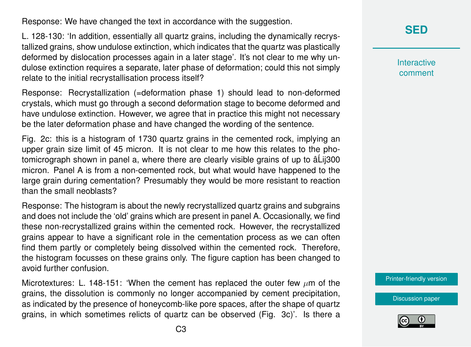Response: We have changed the text in accordance with the suggestion.

L. 128-130: 'In addition, essentially all quartz grains, including the dynamically recrystallized grains, show undulose extinction, which indicates that the quartz was plastically deformed by dislocation processes again in a later stage'. It's not clear to me why undulose extinction requires a separate, later phase of deformation; could this not simply relate to the initial recrystallisation process itself?

Response: Recrystallization (=deformation phase 1) should lead to non-deformed crystals, which must go through a second deformation stage to become deformed and have undulose extinction. However, we agree that in practice this might not necessary be the later deformation phase and have changed the wording of the sentence.

Fig. 2c: this is a histogram of 1730 quartz grains in the cemented rock, implying an upper grain size limit of 45 micron. It is not clear to me how this relates to the photomicrograph shown in panel a, where there are clearly visible grains of up to â Lij300 micron. Panel A is from a non-cemented rock, but what would have happened to the large grain during cementation? Presumably they would be more resistant to reaction than the small neoblasts?

Response: The histogram is about the newly recrystallized quartz grains and subgrains and does not include the 'old' grains which are present in panel A. Occasionally, we find these non-recrystallized grains within the cemented rock. However, the recrystallized grains appear to have a significant role in the cementation process as we can often find them partly or completely being dissolved within the cemented rock. Therefore, the histogram focusses on these grains only. The figure caption has been changed to avoid further confusion.

Microtextures: L. 148-151: 'When the cement has replaced the outer few  $\mu$ m of the grains, the dissolution is commonly no longer accompanied by cement precipitation, as indicated by the presence of honeycomb-like pore spaces, after the shape of quartz grains, in which sometimes relicts of quartz can be observed (Fig. 3c)'. Is there a **[SED](https://se.copernicus.org/preprints/)**

**Interactive** comment

[Printer-friendly version](https://se.copernicus.org/preprints/se-2020-34/se-2020-34-AC2-print.pdf)

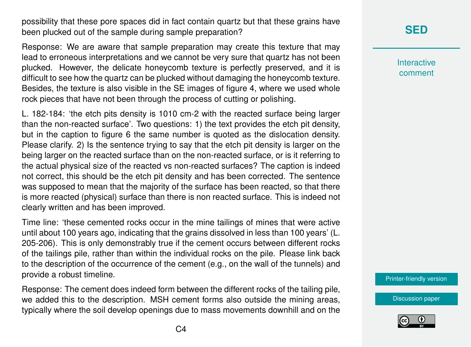possibility that these pore spaces did in fact contain quartz but that these grains have been plucked out of the sample during sample preparation?

Response: We are aware that sample preparation may create this texture that may lead to erroneous interpretations and we cannot be very sure that quartz has not been plucked. However, the delicate honeycomb texture is perfectly preserved, and it is difficult to see how the quartz can be plucked without damaging the honeycomb texture. Besides, the texture is also visible in the SE images of figure 4, where we used whole rock pieces that have not been through the process of cutting or polishing.

L. 182-184: 'the etch pits density is 1010 cm-2 with the reacted surface being larger than the non-reacted surface'. Two questions: 1) the text provides the etch pit density, but in the caption to figure 6 the same number is quoted as the dislocation density. Please clarify. 2) Is the sentence trying to say that the etch pit density is larger on the being larger on the reacted surface than on the non-reacted surface, or is it referring to the actual physical size of the reacted vs non-reacted surfaces? The caption is indeed not correct, this should be the etch pit density and has been corrected. The sentence was supposed to mean that the majority of the surface has been reacted, so that there is more reacted (physical) surface than there is non reacted surface. This is indeed not clearly written and has been improved.

Time line: 'these cemented rocks occur in the mine tailings of mines that were active until about 100 years ago, indicating that the grains dissolved in less than 100 years' (L. 205-206). This is only demonstrably true if the cement occurs between different rocks of the tailings pile, rather than within the individual rocks on the pile. Please link back to the description of the occurrence of the cement (e.g., on the wall of the tunnels) and provide a robust timeline.

Response: The cement does indeed form between the different rocks of the tailing pile, we added this to the description. MSH cement forms also outside the mining areas, typically where the soil develop openings due to mass movements downhill and on the

# **[SED](https://se.copernicus.org/preprints/)**

**Interactive** comment

[Printer-friendly version](https://se.copernicus.org/preprints/se-2020-34/se-2020-34-AC2-print.pdf)

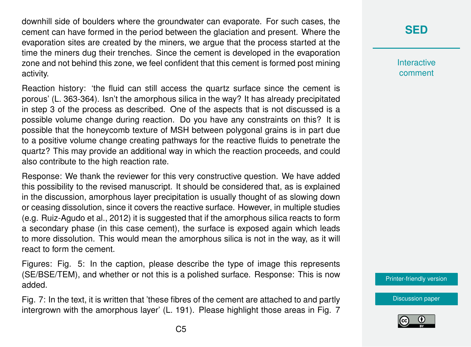downhill side of boulders where the groundwater can evaporate. For such cases, the cement can have formed in the period between the glaciation and present. Where the evaporation sites are created by the miners, we argue that the process started at the time the miners dug their trenches. Since the cement is developed in the evaporation zone and not behind this zone, we feel confident that this cement is formed post mining activity.

Reaction history: 'the fluid can still access the quartz surface since the cement is porous' (L. 363-364). Isn't the amorphous silica in the way? It has already precipitated in step 3 of the process as described. One of the aspects that is not discussed is a possible volume change during reaction. Do you have any constraints on this? It is possible that the honeycomb texture of MSH between polygonal grains is in part due to a positive volume change creating pathways for the reactive fluids to penetrate the quartz? This may provide an additional way in which the reaction proceeds, and could also contribute to the high reaction rate.

Response: We thank the reviewer for this very constructive question. We have added this possibility to the revised manuscript. It should be considered that, as is explained in the discussion, amorphous layer precipitation is usually thought of as slowing down or ceasing dissolution, since it covers the reactive surface. However, in multiple studies (e.g. Ruiz-Agudo et al., 2012) it is suggested that if the amorphous silica reacts to form a secondary phase (in this case cement), the surface is exposed again which leads to more dissolution. This would mean the amorphous silica is not in the way, as it will react to form the cement.

Figures: Fig. 5: In the caption, please describe the type of image this represents (SE/BSE/TEM), and whether or not this is a polished surface. Response: This is now added.

Fig. 7: In the text, it is written that 'these fibres of the cement are attached to and partly intergrown with the amorphous layer' (L. 191). Please highlight those areas in Fig. 7

# **[SED](https://se.copernicus.org/preprints/)**

**Interactive** comment

[Printer-friendly version](https://se.copernicus.org/preprints/se-2020-34/se-2020-34-AC2-print.pdf)

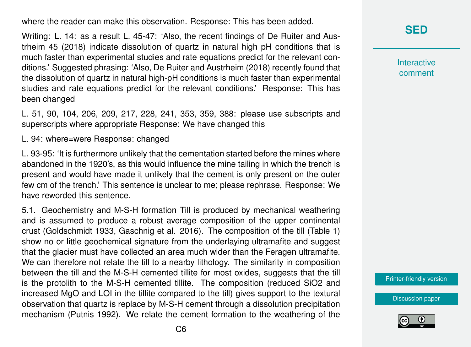where the reader can make this observation. Response: This has been added.

Writing: L. 14: as a result L. 45-47: 'Also, the recent findings of De Ruiter and Austrheim 45 (2018) indicate dissolution of quartz in natural high pH conditions that is much faster than experimental studies and rate equations predict for the relevant conditions.' Suggested phrasing: 'Also, De Ruiter and Austrheim (2018) recently found that the dissolution of quartz in natural high-pH conditions is much faster than experimental studies and rate equations predict for the relevant conditions.' Response: This has been changed

L. 51, 90, 104, 206, 209, 217, 228, 241, 353, 359, 388: please use subscripts and superscripts where appropriate Response: We have changed this

L. 94: where=were Response: changed

L. 93-95: 'It is furthermore unlikely that the cementation started before the mines where abandoned in the 1920's, as this would influence the mine tailing in which the trench is present and would have made it unlikely that the cement is only present on the outer few cm of the trench.' This sentence is unclear to me; please rephrase. Response: We have reworded this sentence.

5.1. Geochemistry and M-S-H formation Till is produced by mechanical weathering and is assumed to produce a robust average composition of the upper continental crust (Goldschmidt 1933, Gaschnig et al. 2016). The composition of the till (Table 1) show no or little geochemical signature from the underlaying ultramafite and suggest that the glacier must have collected an area much wider than the Feragen ultramafite. We can therefore not relate the till to a nearby lithology. The similarity in composition between the till and the M-S-H cemented tillite for most oxides, suggests that the till is the protolith to the M-S-H cemented tillite. The composition (reduced SiO2 and increased MgO and LOI in the tillite compared to the till) gives support to the textural observation that quartz is replace by M-S-H cement through a dissolution precipitation mechanism (Putnis 1992). We relate the cement formation to the weathering of the **[SED](https://se.copernicus.org/preprints/)**

**Interactive** comment

[Printer-friendly version](https://se.copernicus.org/preprints/se-2020-34/se-2020-34-AC2-print.pdf)